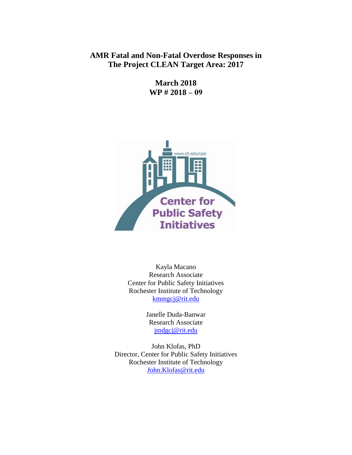## **AMR Fatal and Non-Fatal Overdose Responses in The Project CLEAN Target Area: 2017**

**March 2018 WP # 2018 – 09**



Kayla Macano Research Associate Center for Public Safety Initiatives Rochester Institute of Technology [kmmgcj@rit.edu](mailto:kmmgcj@rit.edu)

> Janelle Duda-Banwar Research Associate [jmdgcj@rit.edu](mailto:jmdgcj@rit.edu)

John Klofas, PhD Director, Center for Public Safety Initiatives Rochester Institute of Technology [John.Klofas@rit.edu](mailto:John.Klofas@rit.edu)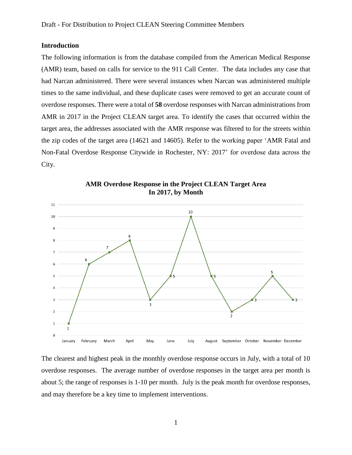#### **Introduction**

The following information is from the database compiled from the American Medical Response (AMR) team, based on calls for service to the 911 Call Center. The data includes any case that had Narcan administered. There were several instances when Narcan was administered multiple times to the same individual, and these duplicate cases were removed to get an accurate count of overdose responses. There were a total of **58** overdose responses with Narcan administrations from AMR in 2017 in the Project CLEAN target area. To identify the cases that occurred within the target area, the addresses associated with the AMR response was filtered to for the streets within the zip codes of the target area (14621 and 14605). Refer to the working paper 'AMR Fatal and Non-Fatal Overdose Response Citywide in Rochester, NY: 2017' for overdose data across the City.



**AMR Overdose Response in the Project CLEAN Target Area In 2017, by Month**

The clearest and highest peak in the monthly overdose response occurs in July, with a total of 10 overdose responses. The average number of overdose responses in the target area per month is about 5; the range of responses is 1-10 per month. July is the peak month for overdose responses, and may therefore be a key time to implement interventions.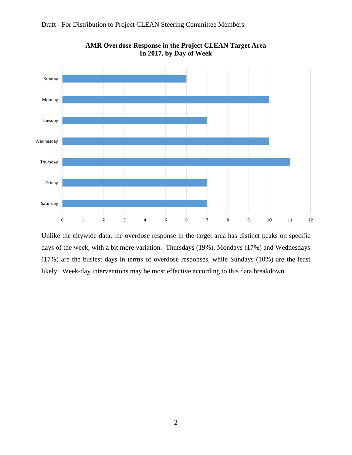



**AMR Overdose Response in the Project CLEAN Target Area In 2017, by Day of Week**

Unlike the citywide data, the overdose response in the target area has distinct peaks on specific days of the week, with a bit more variation. Thursdays (19%), Mondays (17%) and Wednesdays (17%) are the busiest days in terms of overdose responses, while Sundays (10%) are the least likely. Week-day interventions may be most effective according to this data breakdown.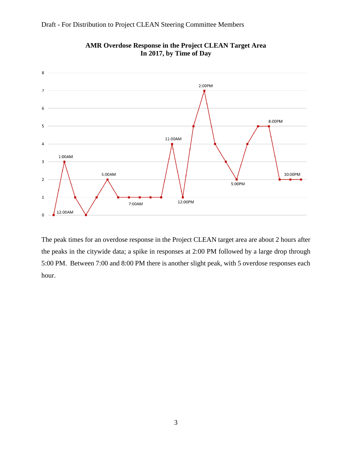

# Draft - For Distribution to Project CLEAN Steering Committee Members

The peak times for an overdose response in the Project CLEAN target area are about 2 hours after the peaks in the citywide data; a spike in responses at 2:00 PM followed by a large drop through 5:00 PM. Between 7:00 and 8:00 PM there is another slight peak, with 5 overdose responses each hour.

#### **AMR Overdose Response in the Project CLEAN Target Area In 2017, by Time of Day**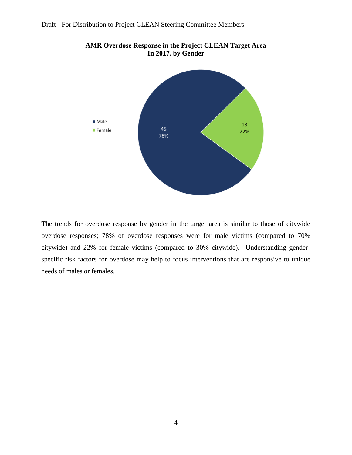

**AMR Overdose Response in the Project CLEAN Target Area In 2017, by Gender**

The trends for overdose response by gender in the target area is similar to those of citywide overdose responses; 78% of overdose responses were for male victims (compared to 70% citywide) and 22% for female victims (compared to 30% citywide). Understanding genderspecific risk factors for overdose may help to focus interventions that are responsive to unique needs of males or females.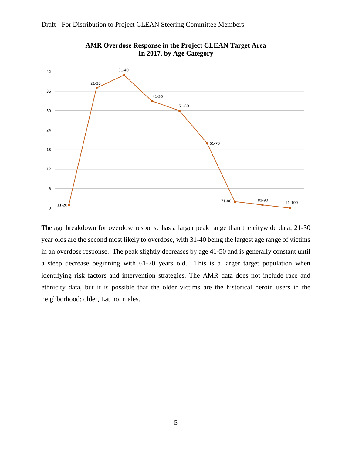



**AMR Overdose Response in the Project CLEAN Target Area In 2017, by Age Category**

The age breakdown for overdose response has a larger peak range than the citywide data; 21-30 year olds are the second most likely to overdose, with 31-40 being the largest age range of victims in an overdose response. The peak slightly decreases by age 41-50 and is generally constant until a steep decrease beginning with 61-70 years old. This is a larger target population when identifying risk factors and intervention strategies. The AMR data does not include race and ethnicity data, but it is possible that the older victims are the historical heroin users in the neighborhood: older, Latino, males.